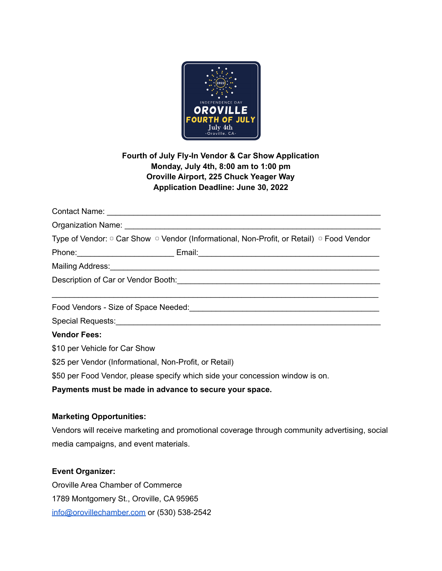

## **Fourth of July Fly-In Vendor & Car Show Application Monday, July 4th, 8:00 am to 1:00 pm Oroville Airport, 225 Chuck Yeager Way Application Deadline: June 30, 2022**

|                                                                               | Type of Vendor: □ Car Show □ Vendor (Informational, Non-Profit, or Retail) □ Food Vendor                       |
|-------------------------------------------------------------------------------|----------------------------------------------------------------------------------------------------------------|
|                                                                               |                                                                                                                |
|                                                                               | Mailing Address: 1999 Mail and 2009 Mailing Address: 1999 Mailing Address: 1999 Mail and 2009 Mail and 2009 Ma |
|                                                                               |                                                                                                                |
|                                                                               |                                                                                                                |
|                                                                               |                                                                                                                |
|                                                                               |                                                                                                                |
| <b>Vendor Fees:</b>                                                           |                                                                                                                |
| \$10 per Vehicle for Car Show                                                 |                                                                                                                |
| \$25 per Vendor (Informational, Non-Profit, or Retail)                        |                                                                                                                |
| \$50 per Food Vendor, please specify which side your concession window is on. |                                                                                                                |
|                                                                               | Payments must be made in advance to secure your space.                                                         |

## **Marketing Opportunities:**

Vendors will receive marketing and promotional coverage through community advertising, social media campaigns, and event materials.

## **Event Organizer:**

Oroville Area Chamber of Commerce 1789 Montgomery St., Oroville, CA 95965 [info@orovillechamber.com](mailto:info@orovillechamber.com) or (530) 538-2542